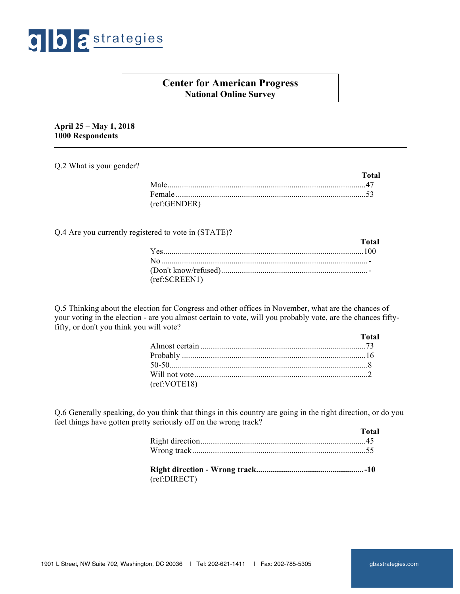

# **Center for American Progress National Online Survey**

**April 25 – May 1, 2018 1000 Respondents**

Q.2 What is your gender?

|              | Total |
|--------------|-------|
|              |       |
|              |       |
| (ref:GENDER) |       |

Q.4 Are you currently registered to vote in (STATE)?

|               | Total |
|---------------|-------|
|               |       |
|               |       |
|               |       |
| (ref:SCREEN1) |       |

Q.5 Thinking about the election for Congress and other offices in November, what are the chances of your voting in the election - are you almost certain to vote, will you probably vote, are the chances fiftyfifty, or don't you think you will vote?

|              | Total |
|--------------|-------|
|              |       |
|              |       |
|              |       |
|              |       |
| (ref:VOTE18) |       |

Q.6 Generally speaking, do you think that things in this country are going in the right direction, or do you feel things have gotten pretty seriously off on the wrong track?

|              | <b>Total</b> |
|--------------|--------------|
|              |              |
|              |              |
| $($ $CDIDED$ |              |

(ref:DIRECT)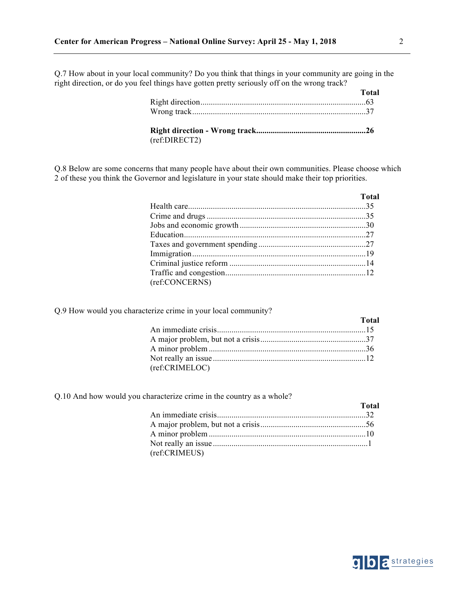Q.7 How about in your local community? Do you think that things in your community are going in the right direction, or do you feel things have gotten pretty seriously off on the wrong track?

|               | <b>Total</b> |
|---------------|--------------|
|               |              |
|               |              |
| (ref:DIRECT2) |              |

Q.8 Below are some concerns that many people have about their own communities. Please choose which 2 of these you think the Governor and legislature in your state should make their top priorities.

|                | <b>Total</b> |
|----------------|--------------|
|                |              |
|                |              |
|                |              |
|                |              |
|                |              |
|                |              |
|                |              |
|                |              |
| (ref:CONCERNS) |              |

Q.9 How would you characterize crime in your local community?

|                | <b>Total</b> |
|----------------|--------------|
|                |              |
|                |              |
|                |              |
|                |              |
| (ref:CRIMELOC) |              |

Q.10 And how would you characterize crime in the country as a whole?

|               | <b>Total</b> |
|---------------|--------------|
|               |              |
|               |              |
|               |              |
|               |              |
| (ref:CRIMEUS) |              |



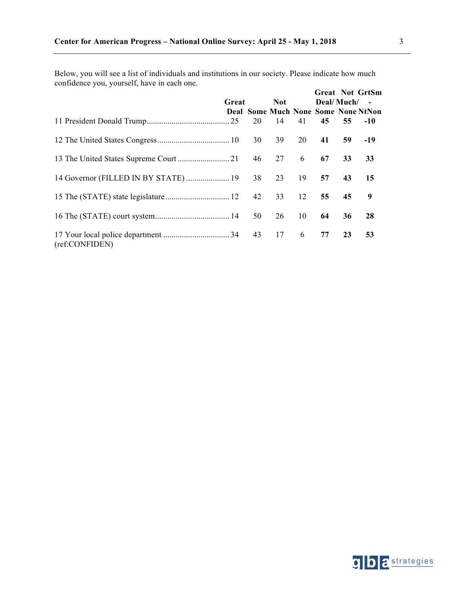Below, you will see a list of individuals and institutions in our society. Please indicate how much confidence you, yourself, have in each one. **Great Not GrtSm**

|                |       |            |    |            |    | Great Not GrtSm                     |
|----------------|-------|------------|----|------------|----|-------------------------------------|
|                | Great | <b>Not</b> |    | Deal/Much/ |    | $\sim$                              |
|                |       |            |    |            |    | Deal Some Much None Some None NtNon |
|                |       |            | 41 | 45         | 55 | $-10$                               |
|                |       |            |    |            |    | $-19$                               |
|                |       |            |    | 67         | 33 | 33                                  |
|                |       |            |    |            | 43 | 15                                  |
|                |       |            |    |            | 45 | 9                                   |
|                |       | 26 10      |    | 64         | 36 | 28                                  |
| (ref:CONFIDEN) |       |            |    | 77         | 23 | 53                                  |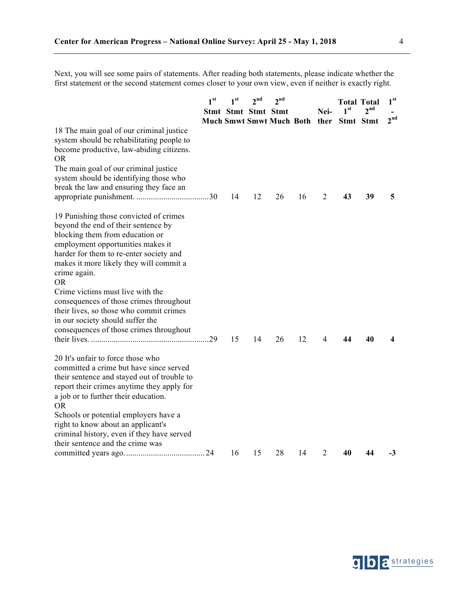Next, you will see some pairs of statements. After reading both statements, please indicate whether the first statement or the second statement comes closer to your own view, even if neither is exactly right.

|                                                                                                                                                                                                                                                                                                                                                                                                                                                                                   | 1 <sup>st</sup> | 1 <sup>st</sup> | 2 <sup>nd</sup><br>Stmt Stmt Stmt Stmt | 2 <sup>nd</sup><br>Much Smwt Smwt Much Both ther |    | Nei- | 1 <sup>st</sup><br>Stmt Stmt | <b>Total Total</b><br>2 <sup>nd</sup> | 1 <sup>st</sup><br>2 <sup>nd</sup> |
|-----------------------------------------------------------------------------------------------------------------------------------------------------------------------------------------------------------------------------------------------------------------------------------------------------------------------------------------------------------------------------------------------------------------------------------------------------------------------------------|-----------------|-----------------|----------------------------------------|--------------------------------------------------|----|------|------------------------------|---------------------------------------|------------------------------------|
| 18 The main goal of our criminal justice<br>system should be rehabilitating people to<br>become productive, law-abiding citizens.<br><b>OR</b><br>The main goal of our criminal justice<br>system should be identifying those who<br>break the law and ensuring they face an                                                                                                                                                                                                      |                 | 14              | 12                                     | 26                                               | 16 | 2    | 43                           | 39                                    | 5                                  |
| 19 Punishing those convicted of crimes<br>beyond the end of their sentence by<br>blocking them from education or<br>employment opportunities makes it<br>harder for them to re-enter society and<br>makes it more likely they will commit a<br>crime again.<br><b>OR</b><br>Crime victims must live with the<br>consequences of those crimes throughout<br>their lives, so those who commit crimes<br>in our society should suffer the<br>consequences of those crimes throughout |                 | 15              | 14                                     | 26                                               | 12 | 4    | 44                           | 40                                    | 4                                  |
| 20 It's unfair to force those who<br>committed a crime but have since served<br>their sentence and stayed out of trouble to<br>report their crimes anytime they apply for<br>a job or to further their education.<br><b>OR</b><br>Schools or potential employers have a<br>right to know about an applicant's<br>criminal history, even if they have served<br>their sentence and the crime was                                                                                   |                 |                 |                                        |                                                  |    |      |                              |                                       |                                    |
|                                                                                                                                                                                                                                                                                                                                                                                                                                                                                   |                 | 16              | 15                                     | 28                                               | 14 | 2    | 40                           | 44                                    | -3                                 |



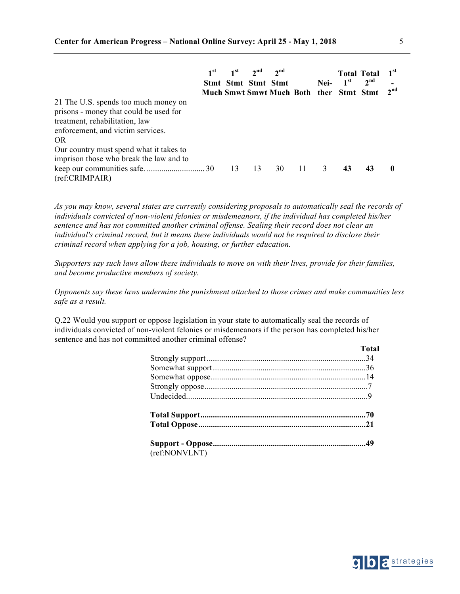|                                                                                                                                                              | 1 <sup>st</sup> | Stmt Stmt Stmt Stmt | $1st$ $2nd$ | 2 <sup>nd</sup><br>Much Smwt Smwt Much Both ther Stmt Stmt |     | Nei-          | 1 <sup>st</sup> | <b>Total Total</b><br>2 <sup>nd</sup> | 1 <sup>st</sup><br>2 <sup>nd</sup> |
|--------------------------------------------------------------------------------------------------------------------------------------------------------------|-----------------|---------------------|-------------|------------------------------------------------------------|-----|---------------|-----------------|---------------------------------------|------------------------------------|
| 21 The U.S. spends too much money on<br>prisons - money that could be used for<br>treatment, rehabilitation, law<br>enforcement, and victim services.<br>OR. |                 |                     |             |                                                            |     |               |                 |                                       |                                    |
| Our country must spend what it takes to<br>imprison those who break the law and to<br>(ref:CRIMPAIR)                                                         |                 | 13                  | 13          | 30                                                         | -11 | $\mathcal{E}$ | 43              | 43                                    | 0                                  |

*As you may know, several states are currently considering proposals to automatically seal the records of individuals convicted of non-violent felonies or misdemeanors, if the individual has completed his/her sentence and has not committed another criminal offense. Sealing their record does not clear an individual's criminal record, but it means these individuals would not be required to disclose their criminal record when applying for a job, housing, or further education.* 

*Supporters say such laws allow these individuals to move on with their lives, provide for their families, and become productive members of society.* 

*Opponents say these laws undermine the punishment attached to those crimes and make communities less safe as a result.* 

Q.22 Would you support or oppose legislation in your state to automatically seal the records of individuals convicted of non-violent felonies or misdemeanors if the person has completed his/her sentence and has not committed another criminal offense?

|               | <b>Total</b> |
|---------------|--------------|
|               |              |
|               |              |
|               |              |
|               |              |
|               |              |
|               |              |
|               |              |
|               |              |
| (ref:NONVLNT) |              |



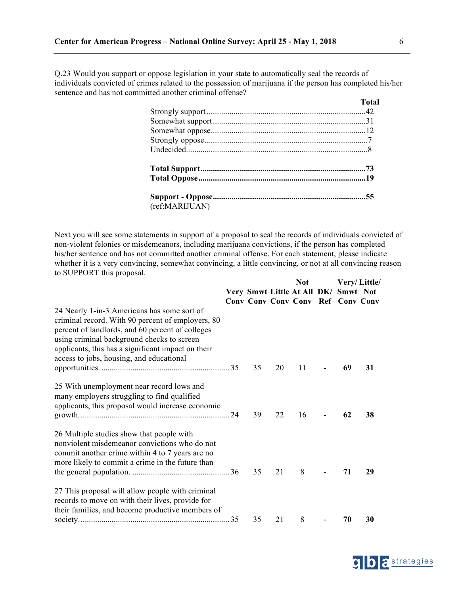Q.23 Would you support or oppose legislation in your state to automatically seal the records of individuals convicted of crimes related to the possession of marijuana if the person has completed his/her sentence and has not committed another criminal offense?

|                | <b>Total</b> |
|----------------|--------------|
|                |              |
|                |              |
|                |              |
|                |              |
|                |              |
|                |              |
|                |              |
|                |              |
| (ref:MARIJUAN) |              |

Next you will see some statements in support of a proposal to seal the records of individuals convicted of non-violent felonies or misdemeanors, including marijuana convictions, if the person has completed his/her sentence and has not committed another criminal offense. For each statement, please indicate whether it is a very convincing, somewhat convincing, a little convincing, or not at all convincing reason to SUPPORT this proposal. **Not Very/ Little/**

|                                                                                                                                                                                                                                                                                                      |    |    |                                                                                  | Very/Little/ |    |  |
|------------------------------------------------------------------------------------------------------------------------------------------------------------------------------------------------------------------------------------------------------------------------------------------------------|----|----|----------------------------------------------------------------------------------|--------------|----|--|
|                                                                                                                                                                                                                                                                                                      |    |    | Very Smwt Little At All DK/ Smwt Not<br><b>Conv Conv Conv Conv Ref Conv Conv</b> |              |    |  |
| 24 Nearly 1-in-3 Americans has some sort of<br>criminal record. With 90 percent of employers, 80<br>percent of landlords, and 60 percent of colleges<br>using criminal background checks to screen<br>applicants, this has a significant impact on their<br>access to jobs, housing, and educational |    |    |                                                                                  |              |    |  |
|                                                                                                                                                                                                                                                                                                      | 35 | 20 | 11                                                                               | 69           | 31 |  |
| 25 With unemployment near record lows and<br>many employers struggling to find qualified<br>applicants, this proposal would increase economic                                                                                                                                                        | 39 | 22 | 16                                                                               | 62           | 38 |  |
| 26 Multiple studies show that people with<br>nonviolent misdemeanor convictions who do not<br>commit another crime within 4 to 7 years are no<br>more likely to commit a crime in the future than                                                                                                    | 35 | 21 | 8                                                                                | 71           | 29 |  |
| 27 This proposal will allow people with criminal<br>records to move on with their lives, provide for<br>their families, and become productive members of                                                                                                                                             |    |    |                                                                                  |              |    |  |
|                                                                                                                                                                                                                                                                                                      | 35 | 21 | 8                                                                                | 70           | 30 |  |

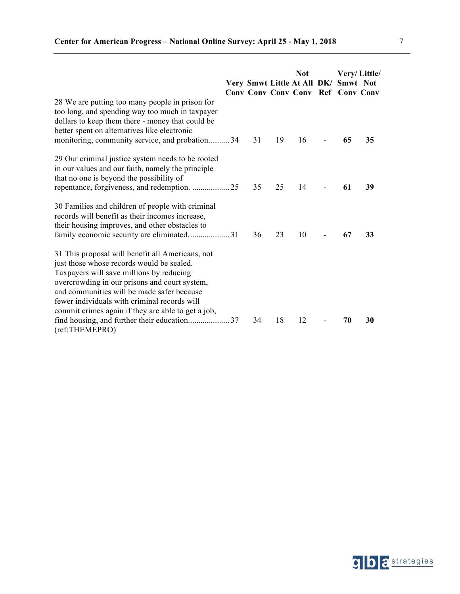|                                                                                                                                                                                                                                                                                                                                                |    |    | <b>Not</b><br>Very Smwt Little At All DK/<br>Conv Conv Conv Conv Ref Conv Conv | Smwt Not | Very/Little/ |
|------------------------------------------------------------------------------------------------------------------------------------------------------------------------------------------------------------------------------------------------------------------------------------------------------------------------------------------------|----|----|--------------------------------------------------------------------------------|----------|--------------|
| 28 We are putting too many people in prison for<br>too long, and spending way too much in taxpayer<br>dollars to keep them there - money that could be<br>better spent on alternatives like electronic<br>monitoring, community service, and probation34                                                                                       | 31 | 19 | 16                                                                             | 65       | 35           |
| 29 Our criminal justice system needs to be rooted<br>in our values and our faith, namely the principle<br>that no one is beyond the possibility of                                                                                                                                                                                             | 35 | 25 | 14                                                                             | 61       | 39           |
| 30 Families and children of people with criminal<br>records will benefit as their incomes increase,<br>their housing improves, and other obstacles to                                                                                                                                                                                          | 36 | 23 | 10                                                                             | 67       | 33           |
| 31 This proposal will benefit all Americans, not<br>just those whose records would be sealed.<br>Taxpayers will save millions by reducing<br>overcrowding in our prisons and court system,<br>and communities will be made safer because<br>fewer individuals with criminal records will<br>commit crimes again if they are able to get a job, | 34 | 18 | 12                                                                             | 70       | 30           |
| (ref:THEMEPRO)                                                                                                                                                                                                                                                                                                                                 |    |    |                                                                                |          |              |



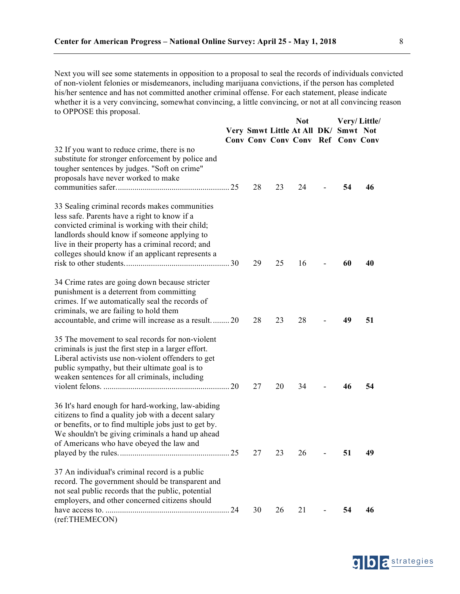Next you will see some statements in opposition to a proposal to seal the records of individuals convicted of non-violent felonies or misdemeanors, including marijuana convictions, if the person has completed his/her sentence and has not committed another criminal offense. For each statement, please indicate whether it is a very convincing, somewhat convincing, a little convincing, or not at all convincing reason to OPPOSE this proposal.

| $100$ OT 1 ODL this proposal.                                                                                                                                                                                                                                                                              |    |    | <b>Not</b><br>Very Smwt Little At All DK/ Smwt Not |    | Very/Little/ |
|------------------------------------------------------------------------------------------------------------------------------------------------------------------------------------------------------------------------------------------------------------------------------------------------------------|----|----|----------------------------------------------------|----|--------------|
| 32 If you want to reduce crime, there is no<br>substitute for stronger enforcement by police and<br>tougher sentences by judges. "Soft on crime"<br>proposals have never worked to make                                                                                                                    | 28 | 23 | <b>Conv Conv Conv Conv Ref Conv Conv</b><br>24     | 54 | 46           |
| 33 Sealing criminal records makes communities<br>less safe. Parents have a right to know if a<br>convicted criminal is working with their child;<br>landlords should know if someone applying to<br>live in their property has a criminal record; and<br>colleges should know if an applicant represents a | 29 | 25 | 16                                                 | 60 | 40           |
| 34 Crime rates are going down because stricter<br>punishment is a deterrent from committing<br>crimes. If we automatically seal the records of<br>criminals, we are failing to hold them<br>accountable, and crime will increase as a result20                                                             | 28 | 23 | 28                                                 | 49 | 51           |
| 35 The movement to seal records for non-violent<br>criminals is just the first step in a larger effort.<br>Liberal activists use non-violent offenders to get<br>public sympathy, but their ultimate goal is to<br>weaken sentences for all criminals, including                                           | 27 | 20 | 34                                                 | 46 | 54           |
| 36 It's hard enough for hard-working, law-abiding<br>citizens to find a quality job with a decent salary<br>or benefits, or to find multiple jobs just to get by.<br>We shouldn't be giving criminals a hand up ahead<br>of Americans who have obeyed the law and                                          | 27 | 23 | 26                                                 | 51 | 49           |
| 37 An individual's criminal record is a public<br>record. The government should be transparent and<br>not seal public records that the public, potential<br>employers, and other concerned citizens should                                                                                                 | 30 | 26 | 21                                                 | 54 | 46           |
| (ref:THEMECON)                                                                                                                                                                                                                                                                                             |    |    |                                                    |    |              |

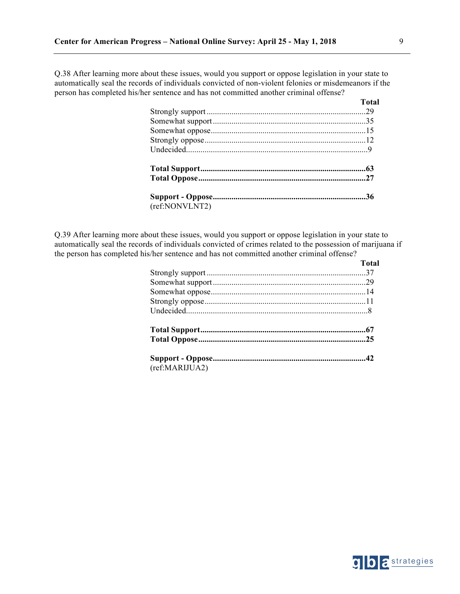Q.38 After learning more about these issues, would you support or oppose legislation in your state to automatically seal the records of individuals convicted of non-violent felonies or misdemeanors if the person has completed his/her sentence and has not committed another criminal offense?

|                | тота |
|----------------|------|
|                |      |
|                |      |
|                |      |
|                |      |
|                |      |
|                |      |
|                |      |
|                |      |
| (ref:NONVLNT2) |      |
|                |      |

Q.39 After learning more about these issues, would you support or oppose legislation in your state to automatically seal the records of individuals convicted of crimes related to the possession of marijuana if the person has completed his/her sentence and has not committed another criminal offense?

|                | <b>Total</b> |
|----------------|--------------|
|                |              |
|                |              |
|                |              |
|                |              |
|                |              |
|                |              |
|                |              |
|                |              |
| (ref:MARIJUA2) |              |

**Total**

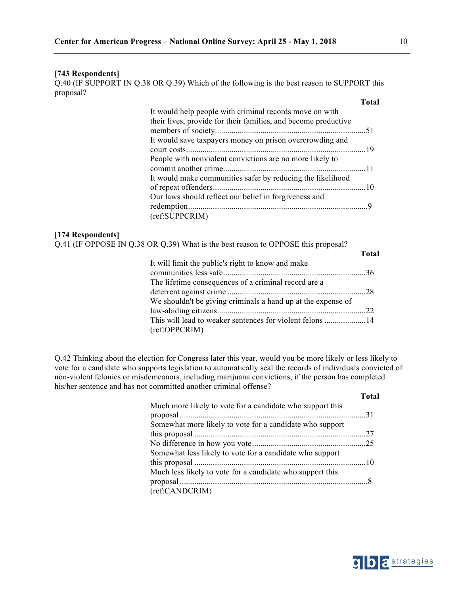### **[743 Respondents]**

Q.40 (IF SUPPORT IN Q.38 OR Q.39) Which of the following is the best reason to SUPPORT this proposal?

|                                                                | <b>Total</b> |
|----------------------------------------------------------------|--------------|
| It would help people with criminal records move on with        |              |
| their lives, provide for their families, and become productive |              |
|                                                                |              |
| It would save taxpayers money on prison overcrowding and       |              |
|                                                                |              |
| People with nonviolent convictions are no more likely to       |              |
|                                                                |              |
| It would make communities safer by reducing the likelihood     |              |
|                                                                |              |
| Our laws should reflect our belief in forgiveness and          |              |
|                                                                |              |
| (ref:SUPPCRIM)                                                 |              |

### **[174 Respondents]**

| Q.41 (IF OPPOSE IN Q.38 OR Q.39) What is the best reason to OPPOSE this proposal? |              |
|-----------------------------------------------------------------------------------|--------------|
|                                                                                   | <b>Total</b> |
| It will limit the public's right to know and make                                 |              |
|                                                                                   |              |
| The lifetime consequences of a criminal record are a                              |              |
|                                                                                   |              |
| We shouldn't be giving criminals a hand up at the expense of                      |              |
|                                                                                   |              |
| This will lead to weaker sentences for violent felons 14                          |              |
| (ref:OPPCRIM)                                                                     |              |

Q.42 Thinking about the election for Congress later this year, would you be more likely or less likely to vote for a candidate who supports legislation to automatically seal the records of individuals convicted of non-violent felonies or misdemeanors, including marijuana convictions, if the person has completed his/her sentence and has not committed another criminal offense?

| Much more likely to vote for a candidate who support this |  |
|-----------------------------------------------------------|--|
| Somewhat more likely to vote for a candidate who support  |  |
|                                                           |  |
|                                                           |  |
| Somewhat less likely to vote for a candidate who support  |  |
|                                                           |  |
| Much less likely to vote for a candidate who support this |  |
|                                                           |  |
| (ref:CANDCRIM)                                            |  |



**Total**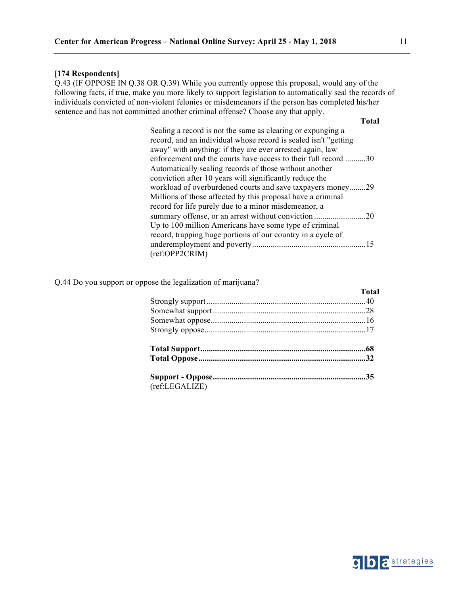#### **[174 Respondents]**

Q.43 (IF OPPOSE IN Q.38 OR Q.39) While you currently oppose this proposal, would any of the following facts, if true, make you more likely to support legislation to automatically seal the records of individuals convicted of non-violent felonies or misdemeanors if the person has completed his/her sentence and has not committed another criminal offense? Choose any that apply.

**Total**

### Q.44 Do you support or oppose the legalization of marijuana?

|                | Total |
|----------------|-------|
|                |       |
|                |       |
|                |       |
|                |       |
|                |       |
|                |       |
|                |       |
| (ref:LEGALIZE) |       |

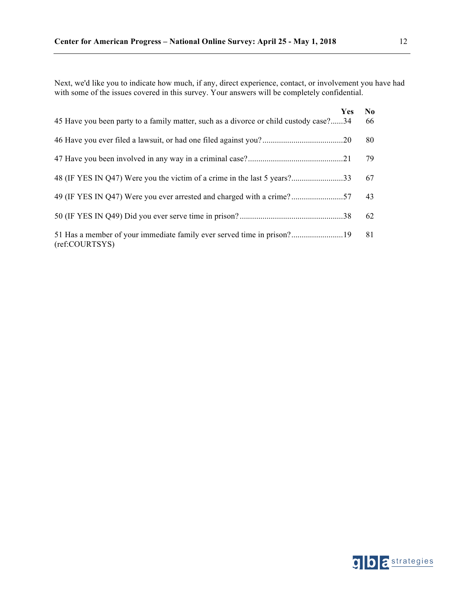Next, we'd like you to indicate how much, if any, direct experience, contact, or involvement you have had with some of the issues covered in this survey. Your answers will be completely confidential.

| 45 Have you been party to a family matter, such as a divorce or child custody case?34 | <b>Yes</b> | N <sub>0</sub><br>66 |
|---------------------------------------------------------------------------------------|------------|----------------------|
|                                                                                       |            | 80                   |
|                                                                                       |            | 79                   |
|                                                                                       |            | 67                   |
|                                                                                       |            | 43                   |
|                                                                                       |            | 62                   |
| (ref:COURTSYS)                                                                        |            | 81                   |

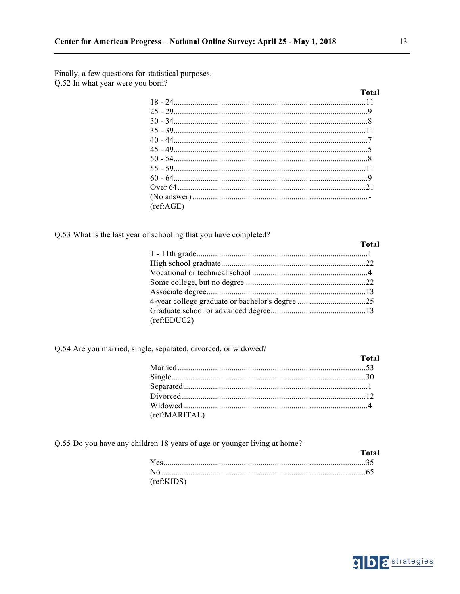Finally, a few questions for statistical purposes. Q.52 In what year were you born?

|           | Total |
|-----------|-------|
|           |       |
|           |       |
|           |       |
|           |       |
|           |       |
|           |       |
|           |       |
|           |       |
|           |       |
|           |       |
|           |       |
| (ref:AGE) |       |

Q.53 What is the last year of schooling that you have completed?

| (ref:EDUC2) |  |
|-------------|--|

# Q.54 Are you married, single, separated, divorced, or widowed?

|               | <b>Total</b> |
|---------------|--------------|
|               |              |
|               |              |
|               |              |
|               |              |
|               |              |
| (ref:MARITAL) |              |

Q.55 Do you have any children 18 years of age or younger living at home?

|            | Total |
|------------|-------|
|            |       |
|            |       |
| (ref:KIDS) |       |



**Total**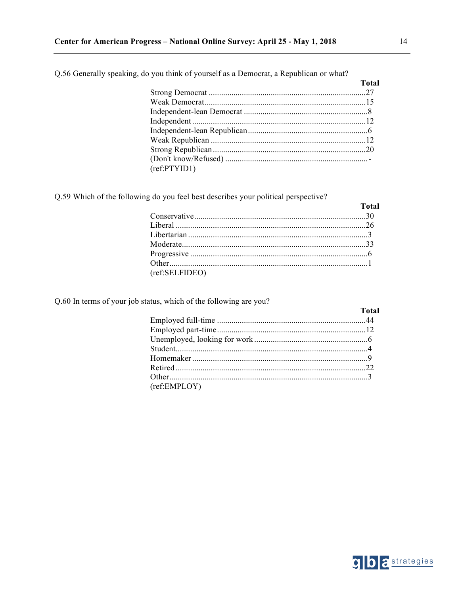|              | Total |
|--------------|-------|
|              |       |
|              |       |
|              |       |
|              |       |
|              |       |
|              |       |
|              |       |
|              |       |
| (ref:PTYID1) |       |

Q.56 Generally speaking, do you think of yourself as a Democrat, a Republican or what?

Q.59 Which of the following do you feel best describes your political perspective?

|                | <b>Total</b> |
|----------------|--------------|
|                |              |
|                |              |
|                |              |
|                |              |
|                |              |
|                |              |
| (ref:SELFIDEO) |              |

Q.60 In terms of your job status, which of the following are you?

|              | <b>Total</b> |
|--------------|--------------|
|              |              |
|              |              |
|              |              |
|              |              |
|              |              |
|              |              |
|              |              |
| (ref:EMPLOY) |              |

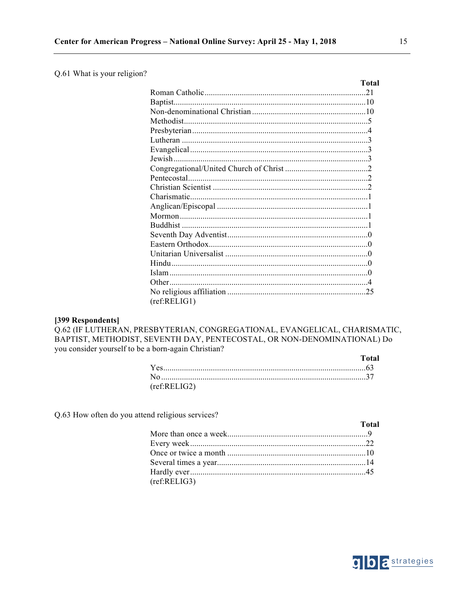### Q.61 What is your religion?

|              | <b>Total</b> |
|--------------|--------------|
|              |              |
|              |              |
|              |              |
|              |              |
|              |              |
|              |              |
|              |              |
|              |              |
|              |              |
|              |              |
|              |              |
|              |              |
|              |              |
|              |              |
|              |              |
|              |              |
|              |              |
|              |              |
|              |              |
|              |              |
|              |              |
|              |              |
| (ref:RELIG1) |              |

### [399 Respondents]

Q.62 (IF LUTHERAN, PRESBYTERIAN, CONGREGATIONAL, EVANGELICAL, CHARISMATIC, BAPTIST, METHODIST, SEVENTH DAY, PENTECOSTAL, OR NON-DENOMINATIONAL) Do you consider yourself to be a born-again Christian? **Total** 

| (ref:RELIG2) |  |
|--------------|--|

Q.63 How often do you attend religious services?

|              | <b>Total</b> |
|--------------|--------------|
|              |              |
|              |              |
|              |              |
|              |              |
|              |              |
| (ref:RELIG3) |              |